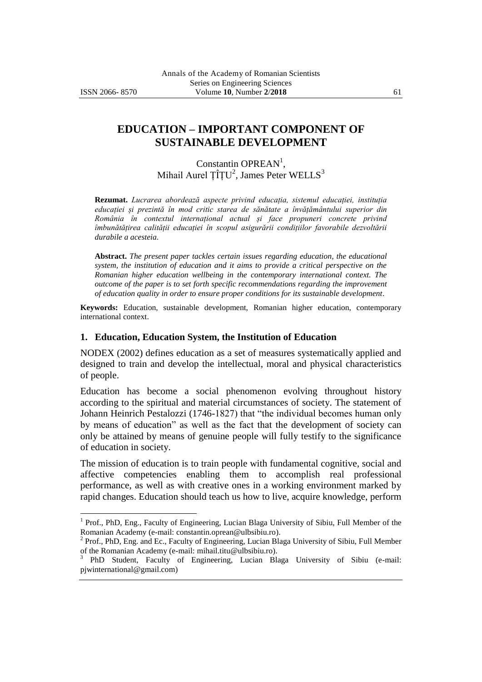$\overline{a}$ 

# **EDUCATION – IMPORTANT COMPONENT OF SUSTAINABLE DEVELOPMENT**

# Constantin OPREAN<sup>1</sup>, Mihail Aurel ȚÎȚU<sup>2</sup>, James Peter WELLS<sup>3</sup>

**Rezumat.** *Lucrarea abordează aspecte privind educația, sistemul educației, instituția educației și prezintă în mod critic starea de sănătate a învățământului superior din România în contextul internațional actual și face propuneri concrete privind îmbunătățirea calității educației în scopul asigurării condițiilor favorabile dezvoltării durabile a acesteia.*

**Abstract.** *The present paper tackles certain issues regarding education, the educational system, the institution of education and it aims to provide a critical perspective on the Romanian higher education wellbeing in the contemporary international context. The outcome of the paper is to set forth specific recommendations regarding the improvement of education quality in order to ensure proper conditions for its sustainable development.*

**Keywords:** Education, sustainable development, Romanian higher education, contemporary international context.

#### **1. Education, Education System, the Institution of Education**

NODEX (2002) defines education as a set of measures systematically applied and designed to train and develop the intellectual, moral and physical characteristics of people.

Education has become a social phenomenon evolving throughout history according to the spiritual and material circumstances of society. The statement of Johann Heinrich Pestalozzi (1746-1827) that "the individual becomes human only by means of education" as well as the fact that the development of society can only be attained by means of genuine people will fully testify to the significance of education in society.

The mission of education is to train people with fundamental cognitive, social and affective competencies enabling them to accomplish real professional performance, as well as with creative ones in a working environment marked by rapid changes. Education should teach us how to live, acquire knowledge, perform

<sup>&</sup>lt;sup>1</sup> Prof., PhD, Eng., Faculty of Engineering, Lucian Blaga University of Sibiu, Full Member of the Romanian Academy (e-mail: constantin.oprean@ulbsibiu.ro).<br><sup>2</sup> Prof., PhD, Eng. and Ec., Faculty of Engineering, Lucian Blaga University of Sibiu, Full Member

of the Romanian Academy (e-mail: mihail.titu@ulbsibiu.ro).

<sup>3</sup> PhD Student, Faculty of Engineering, Lucian Blaga University of Sibiu (e-mail: pjwinternational@gmail.com)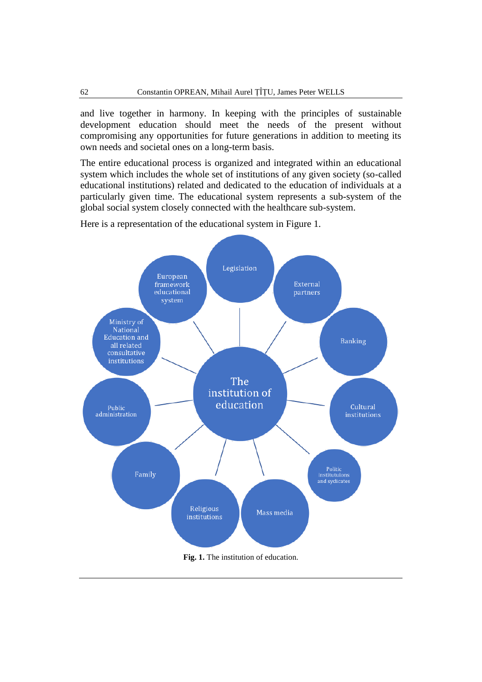and live together in harmony. In keeping with the principles of sustainable development education should meet the needs of the present without compromising any opportunities for future generations in addition to meeting its own needs and societal ones on a long-term basis.

The entire educational process is organized and integrated within an educational system which includes the whole set of institutions of any given society (so-called educational institutions) related and dedicated to the education of individuals at a particularly given time. The educational system represents a sub-system of the global social system closely connected with the healthcare sub-system.

Here is a representation of the educational system in Figure 1.

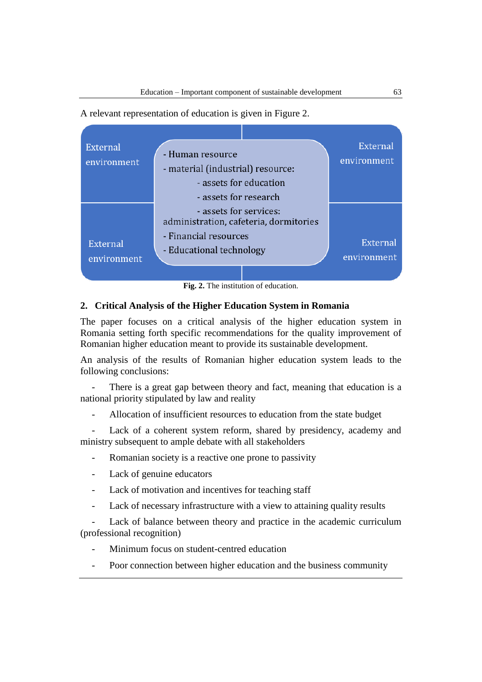A relevant representation of education is given in Figure 2.



**Fig. 2.** The institution of education.

### **2. Critical Analysis of the Higher Education System in Romania**

The paper focuses on a critical analysis of the higher education system in Romania setting forth specific recommendations for the quality improvement of Romanian higher education meant to provide its sustainable development.

An analysis of the results of Romanian higher education system leads to the following conclusions:

There is a great gap between theory and fact, meaning that education is a national priority stipulated by law and reality

- Allocation of insufficient resources to education from the state budget

Lack of a coherent system reform, shared by presidency, academy and ministry subsequent to ample debate with all stakeholders

- Romanian society is a reactive one prone to passivity
- Lack of genuine educators
- Lack of motivation and incentives for teaching staff
- Lack of necessary infrastructure with a view to attaining quality results

Lack of balance between theory and practice in the academic curriculum (professional recognition)

- Minimum focus on student-centred education
- Poor connection between higher education and the business community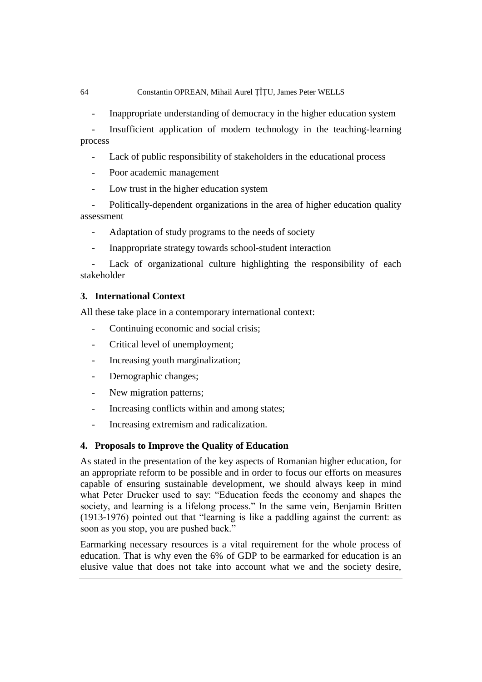- Inappropriate understanding of democracy in the higher education system
- Insufficient application of modern technology in the teaching-learning process
	- Lack of public responsibility of stakeholders in the educational process
	- Poor academic management
	- Low trust in the higher education system
- Politically-dependent organizations in the area of higher education quality assessment
	- Adaptation of study programs to the needs of society
	- Inappropriate strategy towards school-student interaction

Lack of organizational culture highlighting the responsibility of each stakeholder

#### **3. International Context**

All these take place in a contemporary international context:

- Continuing economic and social crisis;
- Critical level of unemployment;
- Increasing youth marginalization;
- Demographic changes;
- New migration patterns;
- Increasing conflicts within and among states;
- Increasing extremism and radicalization.

#### **4. Proposals to Improve the Quality of Education**

As stated in the presentation of the key aspects of Romanian higher education, for an appropriate reform to be possible and in order to focus our efforts on measures capable of ensuring sustainable development, we should always keep in mind what Peter Drucker used to say: "Education feeds the economy and shapes the society, and learning is a lifelong process." In the same vein, Benjamin Britten (1913-1976) pointed out that "learning is like a paddling against the current: as soon as you stop, you are pushed back."

Earmarking necessary resources is a vital requirement for the whole process of education. That is why even the 6% of GDP to be earmarked for education is an elusive value that does not take into account what we and the society desire,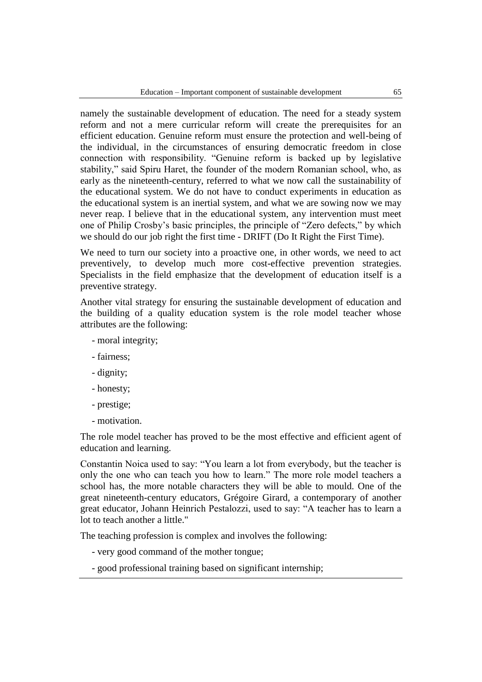namely the sustainable development of education. The need for a steady system reform and not a mere curricular reform will create the prerequisites for an efficient education. Genuine reform must ensure the protection and well-being of the individual, in the circumstances of ensuring democratic freedom in close connection with responsibility. "Genuine reform is backed up by legislative stability," said Spiru Haret, the founder of the modern Romanian school, who, as early as the nineteenth-century, referred to what we now call the sustainability of the educational system. We do not have to conduct experiments in education as the educational system is an inertial system, and what we are sowing now we may never reap. I believe that in the educational system, any intervention must meet one of Philip Crosby's basic principles, the principle of "Zero defects," by which we should do our job right the first time - DRIFT (Do It Right the First Time).

We need to turn our society into a proactive one, in other words, we need to act preventively, to develop much more cost-effective prevention strategies. Specialists in the field emphasize that the development of education itself is a preventive strategy.

Another vital strategy for ensuring the sustainable development of education and the building of a quality education system is the role model teacher whose attributes are the following:

- moral integrity;
- fairness;
- dignity;
- honesty;
- prestige;
- motivation.

The role model teacher has proved to be the most effective and efficient agent of education and learning.

Constantin Noica used to say: "You learn a lot from everybody, but the teacher is only the one who can teach you how to learn." The more role model teachers a school has, the more notable characters they will be able to mould. One of the great nineteenth-century educators, Grégoire Girard, a contemporary of another great educator, Johann Heinrich Pestalozzi, used to say: "A teacher has to learn a lot to teach another a little."

The teaching profession is complex and involves the following:

- very good command of the mother tongue;
- good professional training based on significant internship;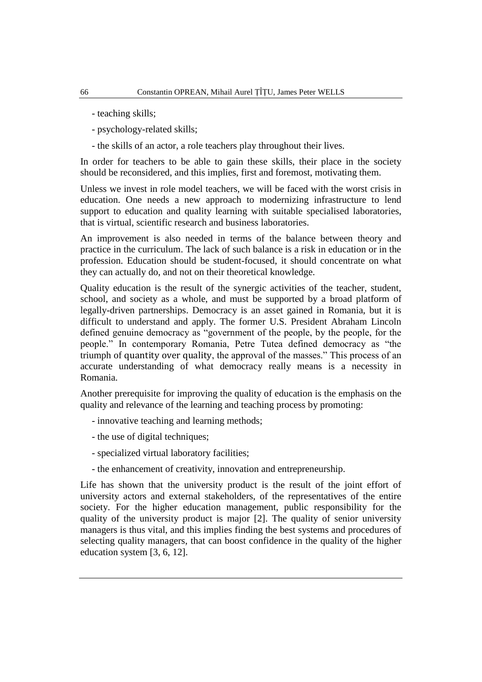- teaching skills;
- psychology-related skills;
- the skills of an actor, a role teachers play throughout their lives.

In order for teachers to be able to gain these skills, their place in the society should be reconsidered, and this implies, first and foremost, motivating them.

Unless we invest in role model teachers, we will be faced with the worst crisis in education. One needs a new approach to modernizing infrastructure to lend support to education and quality learning with suitable specialised laboratories, that is virtual, scientific research and business laboratories.

An improvement is also needed in terms of the balance between theory and practice in the curriculum. The lack of such balance is a risk in education or in the profession. Education should be student-focused, it should concentrate on what they can actually do, and not on their theoretical knowledge.

Quality education is the result of the synergic activities of the teacher, student, school, and society as a whole, and must be supported by a broad platform of legally-driven partnerships. Democracy is an asset gained in Romania, but it is difficult to understand and apply. The former U.S. President Abraham Lincoln defined genuine democracy as "government of the people, by the people, for the people." In contemporary Romania, Petre Tutea defined democracy as "the triumph of quantity over quality, the approval of the masses." This process of an accurate understanding of what democracy really means is a necessity in Romania.

Another prerequisite for improving the quality of education is the emphasis on the quality and relevance of the learning and teaching process by promoting:

- innovative teaching and learning methods;
- the use of digital techniques;
- specialized virtual laboratory facilities;
- the enhancement of creativity, innovation and entrepreneurship.

Life has shown that the university product is the result of the joint effort of university actors and external stakeholders, of the representatives of the entire society. For the higher education management, public responsibility for the quality of the university product is major [2]. The quality of senior university managers is thus vital, and this implies finding the best systems and procedures of selecting quality managers, that can boost confidence in the quality of the higher education system [3, 6, 12].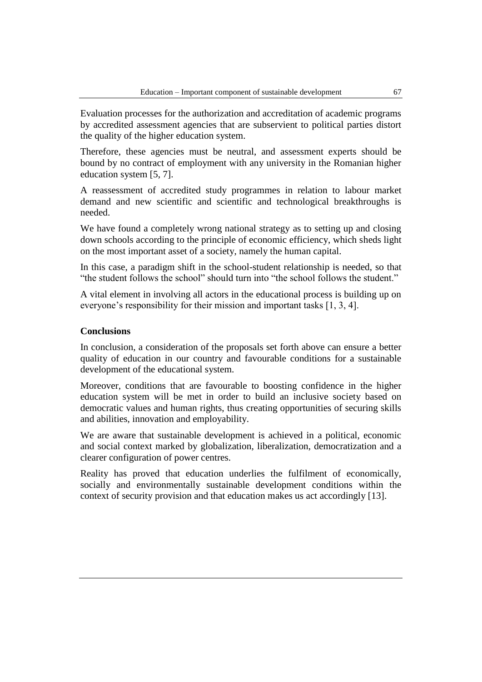Evaluation processes for the authorization and accreditation of academic programs by accredited assessment agencies that are subservient to political parties distort the quality of the higher education system.

Therefore, these agencies must be neutral, and assessment experts should be bound by no contract of employment with any university in the Romanian higher education system [5, 7].

A reassessment of accredited study programmes in relation to labour market demand and new scientific and scientific and technological breakthroughs is needed.

We have found a completely wrong national strategy as to setting up and closing down schools according to the principle of economic efficiency, which sheds light on the most important asset of a society, namely the human capital.

In this case, a paradigm shift in the school-student relationship is needed, so that "the student follows the school" should turn into "the school follows the student."

A vital element in involving all actors in the educational process is building up on everyone's responsibility for their mission and important tasks [1, 3, 4].

### **Conclusions**

In conclusion, a consideration of the proposals set forth above can ensure a better quality of education in our country and favourable conditions for a sustainable development of the educational system.

Moreover, conditions that are favourable to boosting confidence in the higher education system will be met in order to build an inclusive society based on democratic values and human rights, thus creating opportunities of securing skills and abilities, innovation and employability.

We are aware that sustainable development is achieved in a political, economic and social context marked by globalization, liberalization, democratization and a clearer configuration of power centres.

Reality has proved that education underlies the fulfilment of economically, socially and environmentally sustainable development conditions within the context of security provision and that education makes us act accordingly [13].